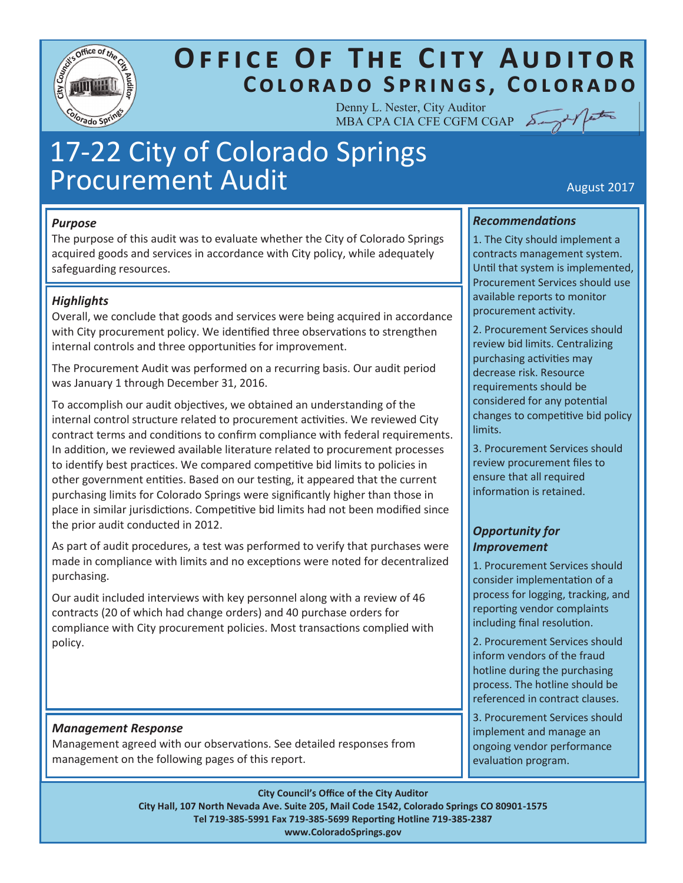

# **OFFICE OF THE CITY AUDITOR** COLORADO SPRINGS, COLORADO

Denny L. Nester, City Auditor MBA CPA CIA CFE CGFM CGAP

# 17-22 City of Colorado Springs Procurement Audit Australian August 2017

## *Purpose*

The purpose of this audit was to evaluate whether the City of Colorado Springs acquired goods and services in accordance with City policy, while adequately safeguarding resources.

## *Highlights*

Overall, we conclude that goods and services were being acquired in accordance with City procurement policy. We identified three observations to strengthen internal controls and three opportunities for improvement.

The Procurement Audit was performed on a recurring basis. Our audit period was January 1 through December 31, 2016.

To accomplish our audit objectives, we obtained an understanding of the internal control structure related to procurement activities. We reviewed City contract terms and conditions to confirm compliance with federal requirements. In addition, we reviewed available literature related to procurement processes to identify best practices. We compared competitive bid limits to policies in other government entities. Based on our testing, it appeared that the current purchasing limits for Colorado Springs were significantly higher than those in place in similar jurisdictions. Competitive bid limits had not been modified since the prior audit conducted in 2012.

As part of audit procedures, a test was performed to verify that purchases were made in compliance with limits and no exceptions were noted for decentralized purchasing.

Our audit included interviews with key personnel along with a review of 46 contracts (20 of which had change orders) and 40 purchase orders for compliance with City procurement policies. Most transactions complied with policy.

## *Management Response*

Management agreed with our observations. See detailed responses from management on the following pages of this report.

**City Council's Office of the City Auditor** 

**City Hall, 107 North Nevada Ave. Suite 205, Mail Code 1542, Colorado Springs CO 80901-1575 Tel 719-385-5991 Fax 719-385-5699 Reporting Hotline 719-385-2387 www.ColoradoSprings.gov**

## *Recommendations*

1. The City should implement a contracts management system. Until that system is implemented, Procurement Services should use available reports to monitor procurement activity.

2. Procurement Services should review bid limits. Centralizing purchasing activities may decrease risk. Resource requirements should be considered for any potential changes to competitive bid policy limits.

3. Procurement Services should review procurement files to ensure that all required information is retained.

## *Opportunity for Improvement*

1. Procurement Services should consider implementation of a process for logging, tracking, and reporting vendor complaints including final resolution.

2. Procurement Services should inform vendors of the fraud hotline during the purchasing process. The hotline should be referenced in contract clauses.

3. Procurement Services should implement and manage an ongoing vendor performance evaluation program.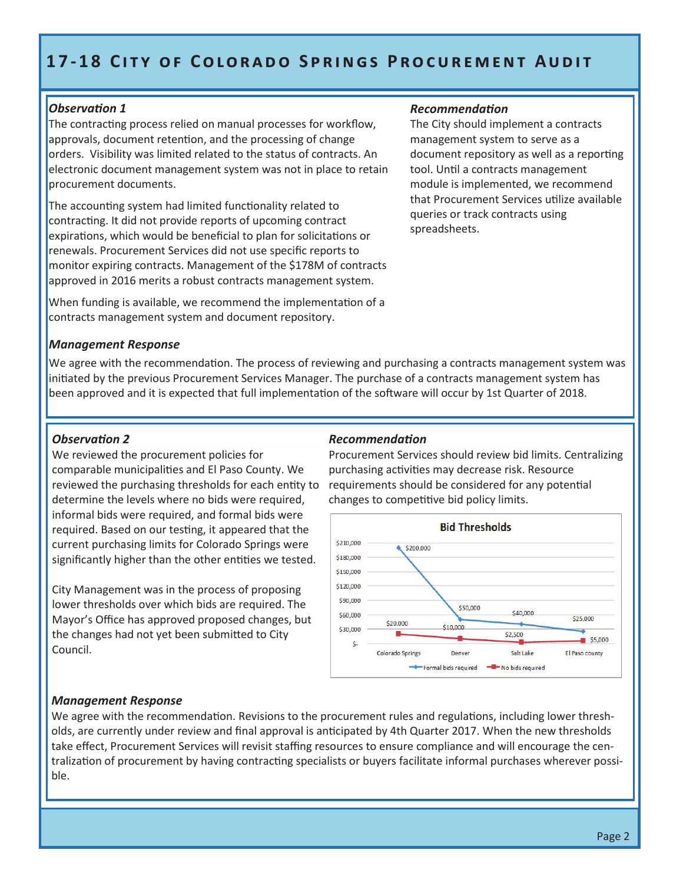# **17-18 CITY OF COLORADO SPRINGS PROCUREMENT AUDIT**

#### *Observation 1*

The contracting process relied on manual processes for workflow, approvals, document retention, and the processing of change orders. Visibility was limited related to the status of contracts. An electronic document management system was not in place to retain procurement documents.

The accounting system had limited functionality related to contracting. It did not provide reports of upcoming contract expirations, which would be beneficial to plan for solicitations or renewals. Procurement Services did not use specific reports to monitor expiring contracts. Management of the \$178M of contracts approved in 2016 merits a robust contracts management system.

When funding is available, we recommend the implementation of a contracts management system and document repository.

#### *Management Response*

We agree with the recommendation. The process of reviewing and purchasing a contracts management system was initiated by the previous Procurement Services Manager. The purchase of a contracts management system has been approved and it is expected that full implementation of the software will occur by 1st Quarter of 2018.

#### *Observation 2*

We reviewed the procurement policies for comparable municipalities and El Paso County. We reviewed the purchasing thresholds for each entity to determine the levels where no bids were required, informal bids were required, and formal bids were required. Based on our testing, it appeared that the current purchasing limits for Colorado Springs were significantly higher than the other entities we tested.

City Management was in the process of proposing lower thresholds over which bids are required. The Mayor's Office has approved proposed changes, but the changes had not yet been submitted to City Council.

#### *Recommendation*

Procurement Services should review bid limits. Centralizing purchasing activities may decrease risk. Resource requirements should be considered for any potential changes to competitive bid policy limits.

*Recommendation* 

spreadsheets.

The City should implement a contracts management system to serve as a

tool. Until a contracts management module is implemented, we recommend that Procurement Services utilize available

queries or track contracts using

document repository as well as a reporting



#### *Management Response*

We agree with the recommendation. Revisions to the procurement rules and regulations, including lower thresholds, are currently under review and final approval is anticipated by 4th Quarter 2017. When the new thresholds take effect, Procurement Services will revisit staffing resources to ensure compliance and will encourage the centralization of procurement by having contracting specialists or buyers facilitate informal purchases wherever possible.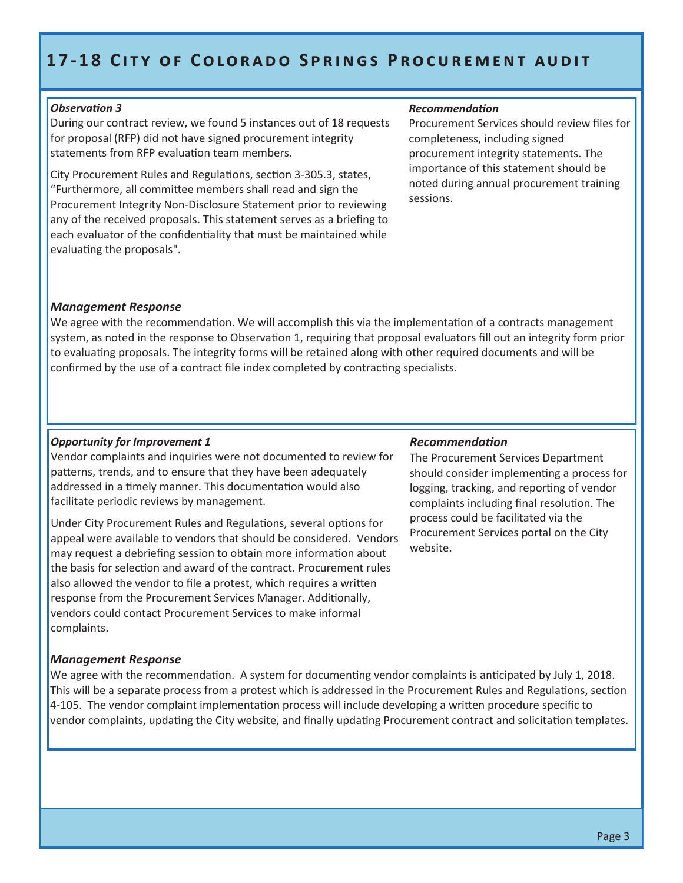# **17-18 CITY OF COLORADO SPRINGS PROCUREMENT AUDIT**

#### *Observation 3*

During our contract review, we found 5 instances out of 18 requests for proposal (RFP) did not have signed procurement integrity statements from RFP evaluation team members.

City Procurement Rules and Regulations, section 3-305.3, states, "Furthermore, all committee members shall read and sign the Procurement Integrity Non-Disclosure Statement prior to reviewing any of the received proposals. This statement serves as a briefing to each evaluator of the confidentiality that must be maintained while evaluating the proposals".

#### *Recommendation*

Procurement Services should review files for completeness, including signed procurement integrity statements. The importance of this statement should be noted during annual procurement training sessions.

#### *Management Response*

We agree with the recommendation. We will accomplish this via the implementation of a contracts management system, as noted in the response to Observation 1, requiring that proposal evaluators fill out an integrity form prior to evaluating proposals. The integrity forms will be retained along with other required documents and will be confirmed by the use of a contract file index completed by contracting specialists.

#### *Opportunity for Improvement 1*

Vendor complaints and inquiries were not documented to review for patterns, trends, and to ensure that they have been adequately addressed in a timely manner. This documentation would also facilitate periodic reviews by management.

Under City Procurement Rules and Regulations, several options for appeal were available to vendors that should be considered. Vendors may request a debriefing session to obtain more information about the basis for selection and award of the contract. Procurement rules also allowed the vendor to file a protest, which requires a written response from the Procurement Services Manager. Additionally, vendors could contact Procurement Services to make informal complaints.

#### *Management Response*

We agree with the recommendation. A system for documenting vendor complaints is anticipated by July 1, 2018. This will be a separate process from a protest which is addressed in the Procurement Rules and Regulations, section 4-105. The vendor complaint implementation process will include developing a written procedure specific to vendor complaints, updating the City website, and finally updating Procurement contract and solicitation templates.

#### *Recommendation*

The Procurement Services Department should consider implementing a process for logging, tracking, and reporting of vendor complaints including final resolution. The process could be facilitated via the Procurement Services portal on the City website.